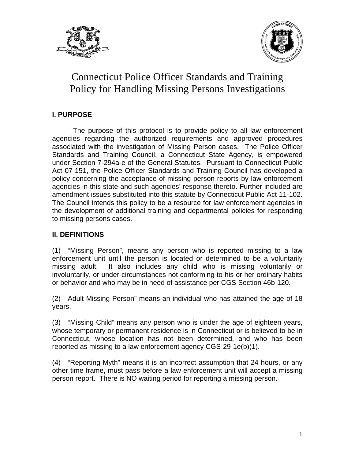



#### **I. PURPOSE**

 The purpose of this protocol is to provide policy to all law enforcement agencies regarding the authorized requirements and approved procedures associated with the investigation of Missing Person cases. The Police Officer Standards and Training Council, a Connecticut State Agency, is empowered under Section 7-294a-e of the General Statutes. Pursuant to Connecticut Public Act 07-151, the Police Officer Standards and Training Council has developed a policy concerning the acceptance of missing person reports by law enforcement agencies in this state and such agencies' response thereto. Further included are amendment issues substituted into this statute by Connecticut Public Act 11-102. The Council intends this policy to be a resource for law enforcement agencies in the development of additional training and departmental policies for responding to missing persons cases.

#### **II. DEFINITIONS**

(1) "Missing Person", means any person who is reported missing to a law enforcement unit until the person is located or determined to be a voluntarily missing adult. It also includes any child who is missing voluntarily or involuntarily, or under circumstances not conforming to his or her ordinary habits or behavior and who may be in need of assistance per CGS Section 46b-120.

(2) Adult Missing Person" means an individual who has attained the age of 18 years.

(3) "Missing Child" means any person who is under the age of eighteen years, whose temporary or permanent residence is in Connecticut or is believed to be in Connecticut, whose location has not been determined, and who has been reported as missing to a law enforcement agency CGS-29-1e(b)(1).

(4) "Reporting Myth" means it is an incorrect assumption that 24 hours, or any other time frame, must pass before a law enforcement unit will accept a missing person report. There is NO waiting period for reporting a missing person.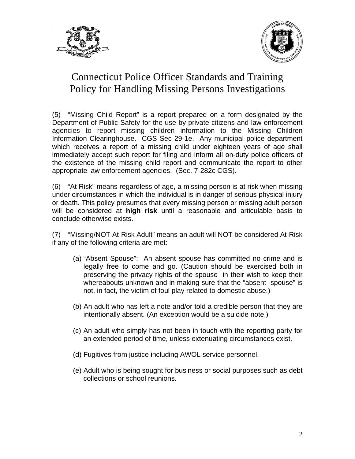



(5) "Missing Child Report" is a report prepared on a form designated by the Department of Public Safety for the use by private citizens and law enforcement agencies to report missing children information to the Missing Children Information Clearinghouse. CGS Sec 29-1e. Any municipal police department which receives a report of a missing child under eighteen years of age shall immediately accept such report for filing and inform all on-duty police officers of the existence of the missing child report and communicate the report to other appropriate law enforcement agencies. (Sec. 7-282c CGS).

(6) "At Risk" means regardless of age, a missing person is at risk when missing under circumstances in which the individual is in danger of serious physical injury or death. This policy presumes that every missing person or missing adult person will be considered at **high risk** until a reasonable and articulable basis to conclude otherwise exists.

(7) "Missing/NOT At-Risk Adult" means an adult will NOT be considered At-Risk if any of the following criteria are met:

- (a) "Absent Spouse": An absent spouse has committed no crime and is legally free to come and go. (Caution should be exercised both in preserving the privacy rights of the spouse in their wish to keep their whereabouts unknown and in making sure that the "absent spouse" is not, in fact, the victim of foul play related to domestic abuse.)
- (b) An adult who has left a note and/or told a credible person that they are intentionally absent. (An exception would be a suicide note.)
- (c) An adult who simply has not been in touch with the reporting party for an extended period of time, unless extenuating circumstances exist.
- (d) Fugitives from justice including AWOL service personnel.
- (e) Adult who is being sought for business or social purposes such as debt collections or school reunions.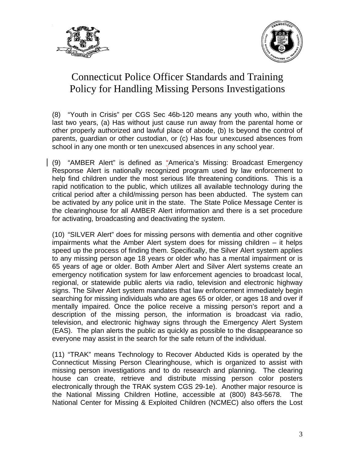



(8) "Youth in Crisis" per CGS Sec 46b-120 means any youth who, within the last two years, (a) Has without just cause run away from the parental home or other properly authorized and lawful place of abode, (b) Is beyond the control of parents, guardian or other custodian, or (c) Has four unexcused absences from school in any one month or ten unexcused absences in any school year.

(9) "AMBER Alert" is defined as "America's Missing: Broadcast Emergency Response Alert is nationally recognized program used by law enforcement to help find children under the most serious life threatening conditions. This is a rapid notification to the public, which utilizes all available technology during the critical period after a child/missing person has been abducted. The system can be activated by any police unit in the state. The State Police Message Center is the clearinghouse for all AMBER Alert information and there is a set procedure for activating, broadcasting and deactivating the system.

(10) "SILVER Alert" does for missing persons with dementia and other cognitive impairments what the Amber Alert system does for missing children – it helps speed up the process of finding them. Specifically, the Silver Alert system applies to any missing person age 18 years or older who has a mental impairment or is 65 years of age or older. Both Amber Alert and Silver Alert systems create an emergency notification system for law enforcement agencies to broadcast local, regional, or statewide public alerts via radio, television and electronic highway signs. The Silver Alert system mandates that law enforcement immediately begin searching for missing individuals who are ages 65 or older, or ages 18 and over if mentally impaired. Once the police receive a missing person's report and a description of the missing person, the information is broadcast via radio, television, and electronic highway signs through the Emergency Alert System (EAS). The plan alerts the public as quickly as possible to the disappearance so everyone may assist in the search for the safe return of the individual.

(11) "TRAK" means Technology to Recover Abducted Kids is operated by the Connecticut Missing Person Clearinghouse, which is organized to assist with missing person investigations and to do research and planning. The clearing house can create, retrieve and distribute missing person color posters electronically through the TRAK system CGS 29-1e). Another major resource is the National Missing Children Hotline, accessible at (800) 843-5678. The National Center for Missing & Exploited Children (NCMEC) also offers the Lost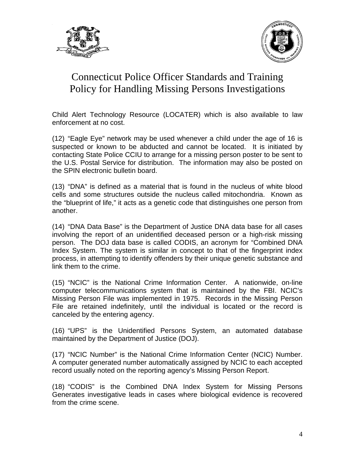



Child Alert Technology Resource (LOCATER) which is also available to law enforcement at no cost.

(12) "Eagle Eye" network may be used whenever a child under the age of 16 is suspected or known to be abducted and cannot be located. It is initiated by contacting State Police CCIU to arrange for a missing person poster to be sent to the U.S. Postal Service for distribution. The information may also be posted on the SPIN electronic bulletin board.

(13) "DNA" is defined as a material that is found in the nucleus of white blood cells and some structures outside the nucleus called mitochondria. Known as the "blueprint of life," it acts as a genetic code that distinguishes one person from another.

(14) "DNA Data Base" is the Department of Justice DNA data base for all cases involving the report of an unidentified deceased person or a high-risk missing person. The DOJ data base is called CODIS, an acronym for "Combined DNA Index System. The system is similar in concept to that of the fingerprint index process, in attempting to identify offenders by their unique genetic substance and link them to the crime.

(15) "NCIC" is the National Crime Information Center. A nationwide, on-line computer telecommunications system that is maintained by the FBI. NCIC's Missing Person File was implemented in 1975. Records in the Missing Person File are retained indefinitely, until the individual is located or the record is canceled by the entering agency.

(16) "UPS" is the Unidentified Persons System, an automated database maintained by the Department of Justice (DOJ).

(17) "NCIC Number" is the National Crime Information Center (NCIC) Number. A computer generated number automatically assigned by NCIC to each accepted record usually noted on the reporting agency's Missing Person Report.

(18) "CODIS" is the Combined DNA Index System for Missing Persons Generates investigative leads in cases where biological evidence is recovered from the crime scene.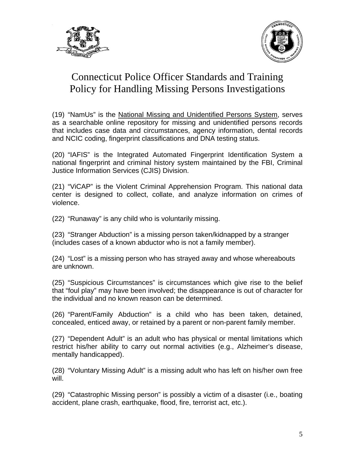



(19) "NamUs" is the National Missing and Unidentified Persons System, serves as a searchable online repository for missing and unidentified persons records that includes case data and circumstances, agency information, dental records and NCIC coding, fingerprint classifications and DNA testing status.

(20) "IAFIS" is the Integrated Automated Fingerprint Identification System a national fingerprint and criminal history system maintained by the FBI, Criminal Justice Information Services (CJIS) Division.

(21) "ViCAP" is the Violent Criminal Apprehension Program. This national data center is designed to collect, collate, and analyze information on crimes of violence.

(22) "Runaway" is any child who is voluntarily missing.

(23) "Stranger Abduction" is a missing person taken/kidnapped by a stranger (includes cases of a known abductor who is not a family member).

(24) "Lost" is a missing person who has strayed away and whose whereabouts are unknown.

(25) "Suspicious Circumstances" is circumstances which give rise to the belief that "foul play" may have been involved; the disappearance is out of character for the individual and no known reason can be determined.

(26) "Parent/Family Abduction" is a child who has been taken, detained, concealed, enticed away, or retained by a parent or non-parent family member.

(27) "Dependent Adult" is an adult who has physical or mental limitations which restrict his/her ability to carry out normal activities (e.g., Alzheimer's disease, mentally handicapped).

(28) "Voluntary Missing Adult" is a missing adult who has left on his/her own free will.

(29) "Catastrophic Missing person" is possibly a victim of a disaster (i.e., boating accident, plane crash, earthquake, flood, fire, terrorist act, etc.).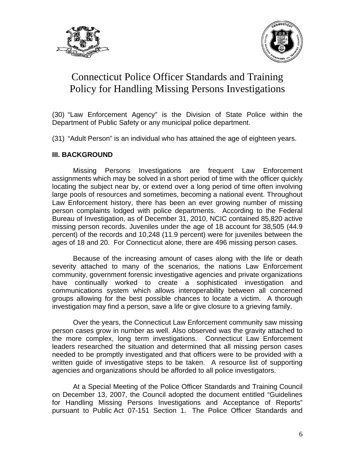



(30) "Law Enforcement Agency" is the Division of State Police within the Department of Public Safety or any municipal police department.

(31) "Adult Person" is an individual who has attained the age of eighteen years.

#### **III. BACKGROUND**

 Missing Persons Investigations are frequent Law Enforcement assignments which may be solved in a short period of time with the officer quickly locating the subject near by, or extend over a long period of time often involving large pools of resources and sometimes, becoming a national event. Throughout Law Enforcement history, there has been an ever growing number of missing person complaints lodged with police departments. According to the Federal Bureau of Investigation, as of December 31, 2010, NCIC contained 85,820 active missing person records. Juveniles under the age of 18 account for 38,505 (44.9 percent) of the records and 10,248 (11.9 percent) were for juveniles between the ages of 18 and 20. For Connecticut alone, there are 496 missing person cases.

 Because of the increasing amount of cases along with the life or death severity attached to many of the scenarios, the nations Law Enforcement community, government forensic investigative agencies and private organizations have continually worked to create a sophisticated investigation and communications system which allows interoperability between all concerned groups allowing for the best possible chances to locate a victim. A thorough investigation may find a person, save a life or give closure to a grieving family.

 Over the years, the Connecticut Law Enforcement community saw missing person cases grow in number as well. Also observed was the gravity attached to the more complex, long term investigations. Connecticut Law Enforcement leaders researched the situation and determined that all missing person cases needed to be promptly investigated and that officers were to be provided with a written guide of investigative steps to be taken. A resource list of supporting agencies and organizations should be afforded to all police investigators.

 At a Special Meeting of the Police Officer Standards and Training Council on December 13, 2007, the Council adopted the document entitled "Guidelines for Handling Missing Persons Investigations and Acceptance of Reports" pursuant to Public Act 07-151 Section 1. The Police Officer Standards and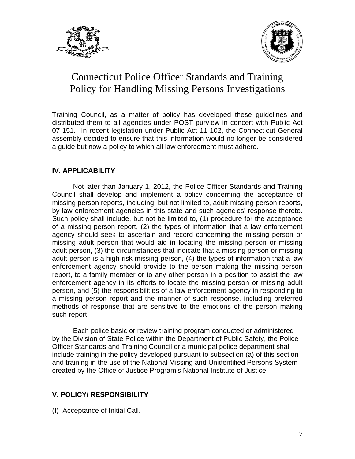



Training Council, as a matter of policy has developed these guidelines and distributed them to all agencies under POST purview in concert with Public Act 07-151. In recent legislation under Public Act 11-102, the Connecticut General assembly decided to ensure that this information would no longer be considered a guide but now a policy to which all law enforcement must adhere.

#### **IV. APPLICABILITY**

 Not later than January 1, 2012, the Police Officer Standards and Training Council shall develop and implement a policy concerning the acceptance of missing person reports, including, but not limited to, adult missing person reports, by law enforcement agencies in this state and such agencies' response thereto. Such policy shall include, but not be limited to, (1) procedure for the acceptance of a missing person report, (2) the types of information that a law enforcement agency should seek to ascertain and record concerning the missing person or missing adult person that would aid in locating the missing person or missing adult person, (3) the circumstances that indicate that a missing person or missing adult person is a high risk missing person, (4) the types of information that a law enforcement agency should provide to the person making the missing person report, to a family member or to any other person in a position to assist the law enforcement agency in its efforts to locate the missing person or missing adult person, and (5) the responsibilities of a law enforcement agency in responding to a missing person report and the manner of such response, including preferred methods of response that are sensitive to the emotions of the person making such report.

Each police basic or review training program conducted or administered by the Division of State Police within the Department of Public Safety, the Police Officer Standards and Training Council or a municipal police department shall include training in the policy developed pursuant to subsection (a) of this section and training in the use of the National Missing and Unidentified Persons System created by the Office of Justice Program's National Institute of Justice.

#### **V. POLICY/ RESPONSIBILITY**

(I) Acceptance of Initial Call.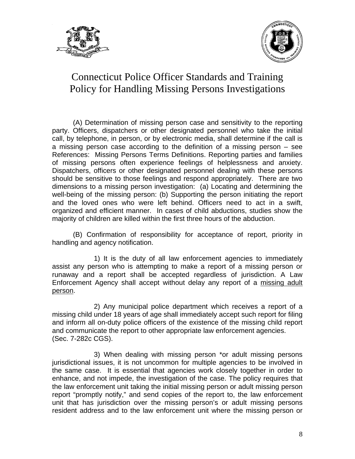



 (A) Determination of missing person case and sensitivity to the reporting party. Officers, dispatchers or other designated personnel who take the initial call, by telephone, in person, or by electronic media, shall determine if the call is a missing person case according to the definition of a missing person – see References: Missing Persons Terms Definitions. Reporting parties and families of missing persons often experience feelings of helplessness and anxiety. Dispatchers, officers or other designated personnel dealing with these persons should be sensitive to those feelings and respond appropriately. There are two dimensions to a missing person investigation: (a) Locating and determining the well-being of the missing person: (b) Supporting the person initiating the report and the loved ones who were left behind. Officers need to act in a swift, organized and efficient manner. In cases of child abductions, studies show the majority of children are killed within the first three hours of the abduction.

 (B) Confirmation of responsibility for acceptance of report, priority in handling and agency notification.

 1) It is the duty of all law enforcement agencies to immediately assist any person who is attempting to make a report of a missing person or runaway and a report shall be accepted regardless of jurisdiction. A Law Enforcement Agency shall accept without delay any report of a missing adult person.

 2) Any municipal police department which receives a report of a missing child under 18 years of age shall immediately accept such report for filing and inform all on-duty police officers of the existence of the missing child report and communicate the report to other appropriate law enforcement agencies. (Sec. 7-282c CGS).

 3) When dealing with missing person \*or adult missing persons jurisdictional issues, it is not uncommon for multiple agencies to be involved in the same case. It is essential that agencies work closely together in order to enhance, and not impede, the investigation of the case. The policy requires that the law enforcement unit taking the initial missing person or adult missing person report "promptly notify," and send copies of the report to, the law enforcement unit that has jurisdiction over the missing person's or adult missing persons resident address and to the law enforcement unit where the missing person or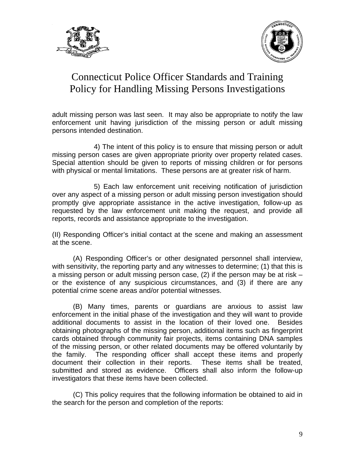



adult missing person was last seen. It may also be appropriate to notify the law enforcement unit having jurisdiction of the missing person or adult missing persons intended destination.

 4) The intent of this policy is to ensure that missing person or adult missing person cases are given appropriate priority over property related cases. Special attention should be given to reports of missing children or for persons with physical or mental limitations. These persons are at greater risk of harm.

 5) Each law enforcement unit receiving notification of jurisdiction over any aspect of a missing person or adult missing person investigation should promptly give appropriate assistance in the active investigation, follow-up as requested by the law enforcement unit making the request, and provide all reports, records and assistance appropriate to the investigation.

(II) Responding Officer's initial contact at the scene and making an assessment at the scene.

 (A) Responding Officer's or other designated personnel shall interview, with sensitivity, the reporting party and any witnesses to determine; (1) that this is a missing person or adult missing person case, (2) if the person may be at risk – or the existence of any suspicious circumstances, and (3) if there are any potential crime scene areas and/or potential witnesses.

 (B) Many times, parents or guardians are anxious to assist law enforcement in the initial phase of the investigation and they will want to provide additional documents to assist in the location of their loved one. Besides obtaining photographs of the missing person, additional items such as fingerprint cards obtained through community fair projects, items containing DNA samples of the missing person, or other related documents may be offered voluntarily by the family. The responding officer shall accept these items and properly document their collection in their reports. These items shall be treated, submitted and stored as evidence. Officers shall also inform the follow-up investigators that these items have been collected.

 (C) This policy requires that the following information be obtained to aid in the search for the person and completion of the reports: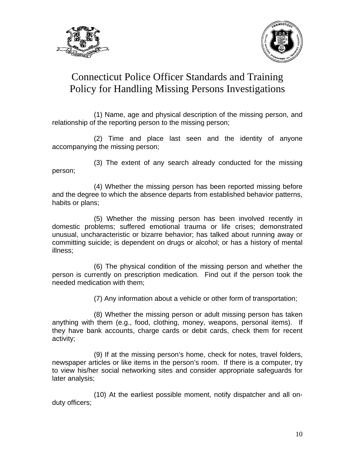



 (1) Name, age and physical description of the missing person, and relationship of the reporting person to the missing person;

 (2) Time and place last seen and the identity of anyone accompanying the missing person;

person;

(3) The extent of any search already conducted for the missing

 (4) Whether the missing person has been reported missing before and the degree to which the absence departs from established behavior patterns, habits or plans;

 (5) Whether the missing person has been involved recently in domestic problems; suffered emotional trauma or life crises; demonstrated unusual, uncharacteristic or bizarre behavior; has talked about running away or committing suicide; is dependent on drugs or alcohol; or has a history of mental illness;

 (6) The physical condition of the missing person and whether the person is currently on prescription medication. Find out if the person took the needed medication with them;

(7) Any information about a vehicle or other form of transportation;

 (8) Whether the missing person or adult missing person has taken anything with them (e.g., food, clothing, money, weapons, personal items). If they have bank accounts, charge cards or debit cards, check them for recent activity;

 (9) If at the missing person's home, check for notes, travel folders, newspaper articles or like items in the person's room. If there is a computer, try to view his/her social networking sites and consider appropriate safeguards for later analysis;

 (10) At the earliest possible moment, notify dispatcher and all onduty officers;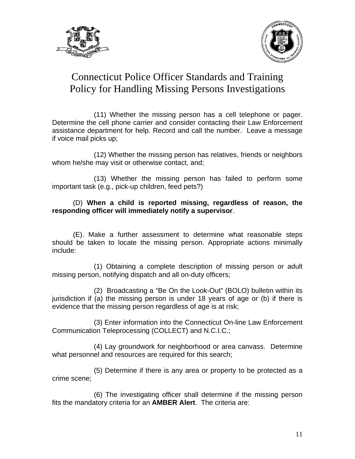



 (11) Whether the missing person has a cell telephone or pager. Determine the cell phone carrier and consider contacting their Law Enforcement assistance department for help. Record and call the number. Leave a message if voice mail picks up;

 (12) Whether the missing person has relatives, friends or neighbors whom he/she may visit or otherwise contact, and;

 (13) Whether the missing person has failed to perform some important task (e.g., pick-up children, feed pets?)

#### (D) **When a child is reported missing, regardless of reason, the responding officer will immediately notify a supervisor**.

 (E). Make a further assessment to determine what reasonable steps should be taken to locate the missing person. Appropriate actions minimally include:

 (1) Obtaining a complete description of missing person or adult missing person, notifying dispatch and all on-duty officers;

 (2) Broadcasting a "Be On the Look-Out" (BOLO) bulletin within its jurisdiction if (a) the missing person is under 18 years of age or (b) if there is evidence that the missing person regardless of age is at risk;

 (3) Enter information into the Connecticut On-line Law Enforcement Communication Teleprocessing (COLLECT) and N.C.I.C.;

 (4) Lay groundwork for neighborhood or area canvass. Determine what personnel and resources are required for this search;

 (5) Determine if there is any area or property to be protected as a crime scene;

 (6) The investigating officer shall determine if the missing person fits the mandatory criteria for an **AMBER Alert**. The criteria are: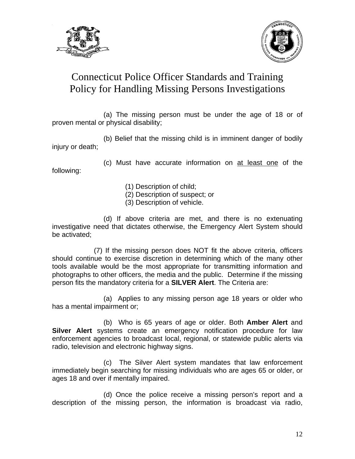



 (a) The missing person must be under the age of 18 or of proven mental or physical disability;

 (b) Belief that the missing child is in imminent danger of bodily injury or death;

 (c) Must have accurate information on at least one of the following:

- (1) Description of child;
- (2) Description of suspect; or
- (3) Description of vehicle.

 (d) If above criteria are met, and there is no extenuating investigative need that dictates otherwise, the Emergency Alert System should be activated;

 (7) If the missing person does NOT fit the above criteria, officers should continue to exercise discretion in determining which of the many other tools available would be the most appropriate for transmitting information and photographs to other officers, the media and the public. Determine if the missing person fits the mandatory criteria for a **SILVER Alert**. The Criteria are:

 (a) Applies to any missing person age 18 years or older who has a mental impairment or;

 (b) Who is 65 years of age or older. Both **Amber Alert** and **Silver Alert** systems create an emergency notification procedure for law enforcement agencies to broadcast local, regional, or statewide public alerts via radio, television and electronic highway signs.

 (c) The Silver Alert system mandates that law enforcement immediately begin searching for missing individuals who are ages 65 or older, or ages 18 and over if mentally impaired.

 (d) Once the police receive a missing person's report and a description of the missing person, the information is broadcast via radio,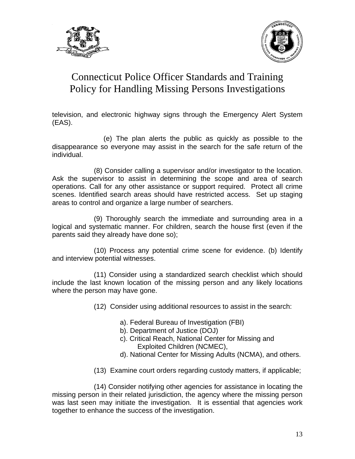



television, and electronic highway signs through the Emergency Alert System (EAS).

 (e) The plan alerts the public as quickly as possible to the disappearance so everyone may assist in the search for the safe return of the individual.

 (8) Consider calling a supervisor and/or investigator to the location. Ask the supervisor to assist in determining the scope and area of search operations. Call for any other assistance or support required. Protect all crime scenes. Identified search areas should have restricted access. Set up staging areas to control and organize a large number of searchers.

 (9) Thoroughly search the immediate and surrounding area in a logical and systematic manner. For children, search the house first (even if the parents said they already have done so);

 (10) Process any potential crime scene for evidence. (b) Identify and interview potential witnesses.

 (11) Consider using a standardized search checklist which should include the last known location of the missing person and any likely locations where the person may have gone.

- (12) Consider using additional resources to assist in the search:
	- a). Federal Bureau of Investigation (FBI)
	- b). Department of Justice (DOJ)
	- c). Critical Reach, National Center for Missing and Exploited Children (NCMEC),
	- d). National Center for Missing Adults (NCMA), and others.
- (13) Examine court orders regarding custody matters, if applicable;

 (14) Consider notifying other agencies for assistance in locating the missing person in their related jurisdiction, the agency where the missing person was last seen may initiate the investigation. It is essential that agencies work together to enhance the success of the investigation.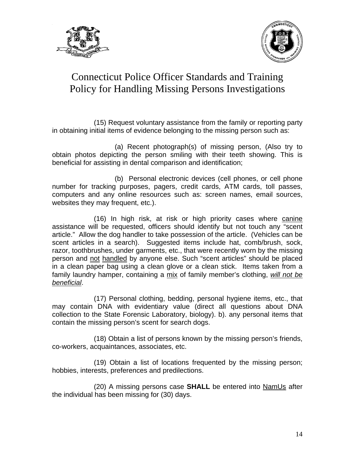



 (15) Request voluntary assistance from the family or reporting party in obtaining initial items of evidence belonging to the missing person such as:

 (a) Recent photograph(s) of missing person, (Also try to obtain photos depicting the person smiling with their teeth showing. This is beneficial for assisting in dental comparison and identification;

 (b) Personal electronic devices (cell phones, or cell phone number for tracking purposes, pagers, credit cards, ATM cards, toll passes, computers and any online resources such as: screen names, email sources, websites they may frequent, etc.).

 (16) In high risk, at risk or high priority cases where canine assistance will be requested, officers should identify but not touch any "scent article." Allow the dog handler to take possession of the article. (Vehicles can be scent articles in a search). Suggested items include hat, comb/brush, sock, razor, toothbrushes, under garments, etc., that were recently worn by the missing person and not handled by anyone else. Such "scent articles" should be placed in a clean paper bag using a clean glove or a clean stick. Items taken from a family laundry hamper, containing a mix of family member's clothing, *will not be beneficial*.

 (17) Personal clothing, bedding, personal hygiene items, etc., that may contain DNA with evidentiary value (direct all questions about DNA collection to the State Forensic Laboratory, biology). b). any personal items that contain the missing person's scent for search dogs.

 (18) Obtain a list of persons known by the missing person's friends, co-workers, acquaintances, associates, etc.

 (19) Obtain a list of locations frequented by the missing person; hobbies, interests, preferences and predilections.

 (20) A missing persons case **SHALL** be entered into NamUs after the individual has been missing for (30) days.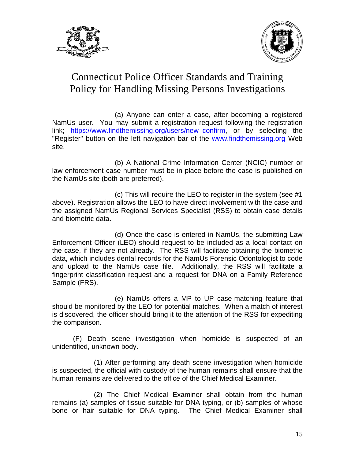



 (a) Anyone can enter a case, after becoming a registered NamUs user. You may submit a registration request following the registration link; [https://www.findthemissing.org/users/new\\_confirm,](https://www.findthemissing.org/users/new_confirm) or by selecting the "Register" button on the left navigation bar of the [www.findthemissing.org](http://www.findthemissing.org/) Web site.

 (b) A National Crime Information Center (NCIC) number or law enforcement case number must be in place before the case is published on the NamUs site (both are preferred).

 (c) This will require the LEO to register in the system (see #1 above). Registration allows the LEO to have direct involvement with the case and the assigned NamUs Regional Services Specialist (RSS) to obtain case details and biometric data.

 (d) Once the case is entered in NamUs, the submitting Law Enforcement Officer (LEO) should request to be included as a local contact on the case, if they are not already. The RSS will facilitate obtaining the biometric data, which includes dental records for the NamUs Forensic Odontologist to code and upload to the NamUs case file. Additionally, the RSS will facilitate a fingerprint classification request and a request for DNA on a Family Reference Sample (FRS).

 (e) NamUs offers a MP to UP case-matching feature that should be monitored by the LEO for potential matches. When a match of interest is discovered, the officer should bring it to the attention of the RSS for expediting the comparison.

 (F) Death scene investigation when homicide is suspected of an unidentified, unknown body.

 (1) After performing any death scene investigation when homicide is suspected, the official with custody of the human remains shall ensure that the human remains are delivered to the office of the Chief Medical Examiner.

 (2) The Chief Medical Examiner shall obtain from the human remains (a) samples of tissue suitable for DNA typing, or (b) samples of whose bone or hair suitable for DNA typing. The Chief Medical Examiner shall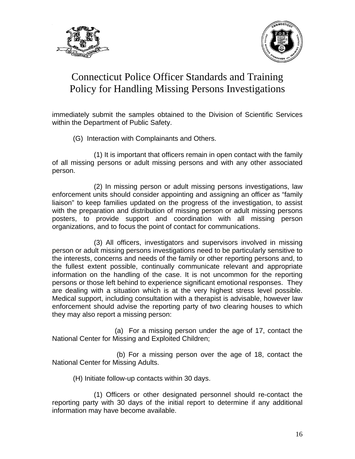



immediately submit the samples obtained to the Division of Scientific Services within the Department of Public Safety.

(G) Interaction with Complainants and Others.

 (1) It is important that officers remain in open contact with the family of all missing persons or adult missing persons and with any other associated person.

 (2) In missing person or adult missing persons investigations, law enforcement units should consider appointing and assigning an officer as "family liaison" to keep families updated on the progress of the investigation, to assist with the preparation and distribution of missing person or adult missing persons posters, to provide support and coordination with all missing person organizations, and to focus the point of contact for communications.

 (3) All officers, investigators and supervisors involved in missing person or adult missing persons investigations need to be particularly sensitive to the interests, concerns and needs of the family or other reporting persons and, to the fullest extent possible, continually communicate relevant and appropriate information on the handling of the case. It is not uncommon for the reporting persons or those left behind to experience significant emotional responses. They are dealing with a situation which is at the very highest stress level possible. Medical support, including consultation with a therapist is advisable, however law enforcement should advise the reporting party of two clearing houses to which they may also report a missing person:

 (a) For a missing person under the age of 17, contact the National Center for Missing and Exploited Children;

 (b) For a missing person over the age of 18, contact the National Center for Missing Adults.

(H) Initiate follow-up contacts within 30 days.

 (1) Officers or other designated personnel should re-contact the reporting party with 30 days of the initial report to determine if any additional information may have become available.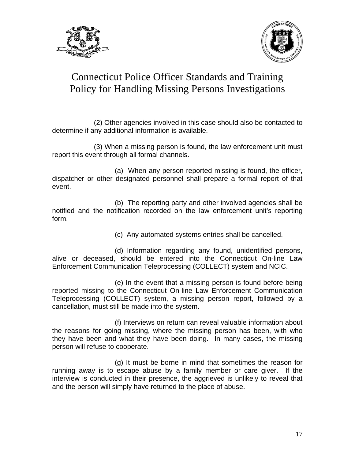



 (2) Other agencies involved in this case should also be contacted to determine if any additional information is available.

 (3) When a missing person is found, the law enforcement unit must report this event through all formal channels.

 (a) When any person reported missing is found, the officer, dispatcher or other designated personnel shall prepare a formal report of that event.

 (b) The reporting party and other involved agencies shall be notified and the notification recorded on the law enforcement unit's reporting form.

(c) Any automated systems entries shall be cancelled.

 (d) Information regarding any found, unidentified persons, alive or deceased, should be entered into the Connecticut On-line Law Enforcement Communication Teleprocessing (COLLECT) system and NCIC.

 (e) In the event that a missing person is found before being reported missing to the Connecticut On-line Law Enforcement Communication Teleprocessing (COLLECT) system, a missing person report, followed by a cancellation, must still be made into the system.

 (f) Interviews on return can reveal valuable information about the reasons for going missing, where the missing person has been, with who they have been and what they have been doing. In many cases, the missing person will refuse to cooperate.

 (g) It must be borne in mind that sometimes the reason for running away is to escape abuse by a family member or care giver. If the interview is conducted in their presence, the aggrieved is unlikely to reveal that and the person will simply have returned to the place of abuse.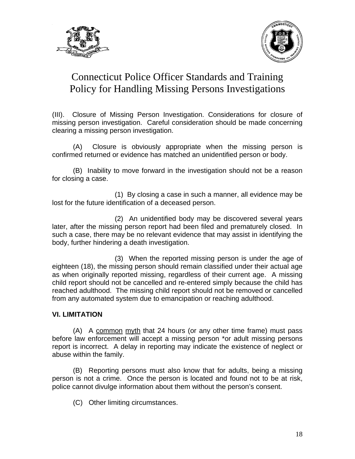



(III). Closure of Missing Person Investigation. Considerations for closure of missing person investigation. Careful consideration should be made concerning clearing a missing person investigation.

 (A) Closure is obviously appropriate when the missing person is confirmed returned or evidence has matched an unidentified person or body.

 (B) Inability to move forward in the investigation should not be a reason for closing a case.

 (1) By closing a case in such a manner, all evidence may be lost for the future identification of a deceased person.

 (2) An unidentified body may be discovered several years later, after the missing person report had been filed and prematurely closed. In such a case, there may be no relevant evidence that may assist in identifying the body, further hindering a death investigation.

 (3) When the reported missing person is under the age of eighteen (18), the missing person should remain classified under their actual age as when originally reported missing, regardless of their current age. A missing child report should not be cancelled and re-entered simply because the child has reached adulthood. The missing child report should not be removed or cancelled from any automated system due to emancipation or reaching adulthood.

#### **VI. LIMITATION**

 (A) A common myth that 24 hours (or any other time frame) must pass before law enforcement will accept a missing person \*or adult missing persons report is incorrect. A delay in reporting may indicate the existence of neglect or abuse within the family.

 (B) Reporting persons must also know that for adults, being a missing person is not a crime. Once the person is located and found not to be at risk, police cannot divulge information about them without the person's consent.

(C) Other limiting circumstances.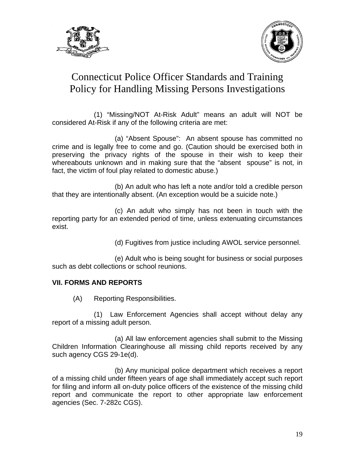



 (1) "Missing/NOT At-Risk Adult" means an adult will NOT be considered At-Risk if any of the following criteria are met:

 (a) "Absent Spouse": An absent spouse has committed no crime and is legally free to come and go. (Caution should be exercised both in preserving the privacy rights of the spouse in their wish to keep their whereabouts unknown and in making sure that the "absent spouse" is not, in fact, the victim of foul play related to domestic abuse.)

 (b) An adult who has left a note and/or told a credible person that they are intentionally absent. (An exception would be a suicide note.)

 (c) An adult who simply has not been in touch with the reporting party for an extended period of time, unless extenuating circumstances exist.

(d) Fugitives from justice including AWOL service personnel.

 (e) Adult who is being sought for business or social purposes such as debt collections or school reunions.

#### **VII. FORMS AND REPORTS**

(A) Reporting Responsibilities.

 (1) Law Enforcement Agencies shall accept without delay any report of a missing adult person.

 (a) All law enforcement agencies shall submit to the Missing Children Information Clearinghouse all missing child reports received by any such agency CGS 29-1e(d).

 (b) Any municipal police department which receives a report of a missing child under fifteen years of age shall immediately accept such report for filing and inform all on-duty police officers of the existence of the missing child report and communicate the report to other appropriate law enforcement agencies (Sec. 7-282c CGS).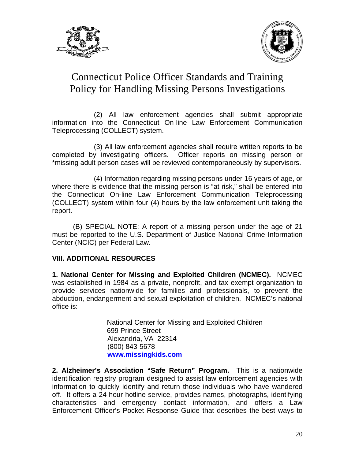



 (2) All law enforcement agencies shall submit appropriate information into the Connecticut On-line Law Enforcement Communication Teleprocessing (COLLECT) system.

 (3) All law enforcement agencies shall require written reports to be completed by investigating officers. Officer reports on missing person or \*missing adult person cases will be reviewed contemporaneously by supervisors.

 (4) Information regarding missing persons under 16 years of age, or where there is evidence that the missing person is "at risk," shall be entered into the Connecticut On-line Law Enforcement Communication Teleprocessing (COLLECT) system within four (4) hours by the law enforcement unit taking the report.

 (B) SPECIAL NOTE: A report of a missing person under the age of 21 must be reported to the U.S. Department of Justice National Crime Information Center (NCIC) per Federal Law.

#### **VIII. ADDITIONAL RESOURCES**

**1. National Center for Missing and Exploited Children (NCMEC).** NCMEC was established in 1984 as a private, nonprofit, and tax exempt organization to provide services nationwide for families and professionals, to prevent the abduction, endangerment and sexual exploitation of children. NCMEC's national office is:

> National Center for Missing and Exploited Children 699 Prince Street Alexandria, VA 22314 (800) 843-5678  **[www.missingkids.com](http://www.missingkids.com/)**

**2. Alzheimer's Association "Safe Return" Program.** This is a nationwide identification registry program designed to assist law enforcement agencies with information to quickly identify and return those individuals who have wandered off. It offers a 24 hour hotline service, provides names, photographs, identifying characteristics and emergency contact information, and offers a Law Enforcement Officer's Pocket Response Guide that describes the best ways to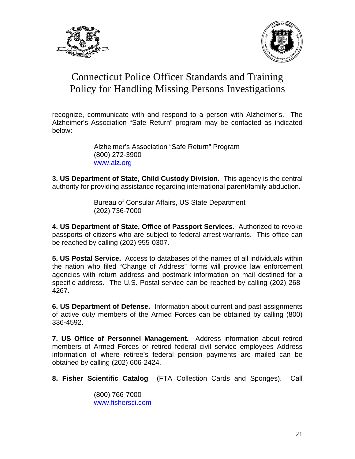



recognize, communicate with and respond to a person with Alzheimer's. The Alzheimer's Association "Safe Return" program may be contacted as indicated below:

> Alzheimer's Association "Safe Return" Program (800) 272-3900 [www.alz.org](http://www.alz.org/)

**3. US Department of State, Child Custody Division.** This agency is the central authority for providing assistance regarding international parent/family abduction.

> Bureau of Consular Affairs, US State Department (202) 736-7000

**4. US Department of State, Office of Passport Services.** Authorized to revoke passports of citizens who are subject to federal arrest warrants. This office can be reached by calling (202) 955-0307.

**5. US Postal Service.** Access to databases of the names of all individuals within the nation who filed "Change of Address" forms will provide law enforcement agencies with return address and postmark information on mail destined for a specific address. The U.S. Postal service can be reached by calling (202) 268- 4267.

**6. US Department of Defense.** Information about current and past assignments of active duty members of the Armed Forces can be obtained by calling (800) 336-4592.

**7. US Office of Personnel Management.** Address information about retired members of Armed Forces or retired federal civil service employees Address information of where retiree's federal pension payments are mailed can be obtained by calling (202) 606-2424.

**8. Fisher Scientific Catalog** (FTA Collection Cards and Sponges). Call

(800) 766-7000 [www.fishersci.com](http://www.fishersci.com/)